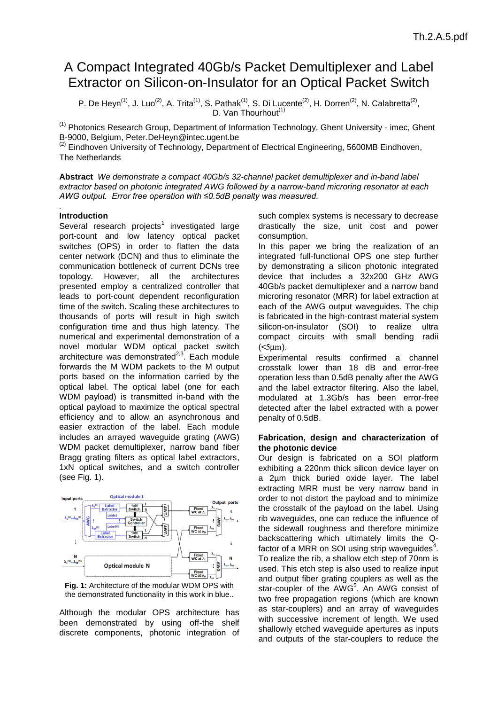# A Compact Integrated 40Gb/s Packet Demultiplexer and Label Extractor on Silicon-on-Insulator for an Optical Packet Switch

P. De Heyn<sup>(1)</sup>, J. Luo<sup>(2)</sup>, A. Trita<sup>(1)</sup>, S. Pathak<sup>(1)</sup>, S. Di Lucente<sup>(2)</sup>, H. Dorren<sup>(2)</sup>, N. Calabretta<sup>(2)</sup>, D. Van Thourhout<sup>(1)</sup>

(1) Photonics Research Group, Department of Information Technology, Ghent University - imec, Ghent B-9000, Belgium, Peter.DeHeyn@intec.ugent.be

 $(2)$  Eindhoven University of Technology, Department of Electrical Engineering, 5600MB Eindhoven, The Netherlands

**Abstract** *We demonstrate a compact 40Gb/s 32-channel packet demultiplexer and in-band label extractor based on photonic integrated AWG followed by a narrow-band microring resonator at each AWG output. Error free operation with ≤0.5dB penalty was measured.*

#### *.* **Introduction**

Several research projects<sup>1</sup> investigated large port-count and low latency optical packet switches (OPS) in order to flatten the data center network (DCN) and thus to eliminate the communication bottleneck of current DCNs tree topology. However, all the architectures presented employ a centralized controller that leads to port-count dependent reconfiguration time of the switch. Scaling these architectures to thousands of ports will result in high switch configuration time and thus high latency. The numerical and experimental demonstration of a novel modular WDM optical packet switch architecture was demonstrated $2.3$ . Each module forwards the M WDM packets to the M output ports based on the information carried by the optical label. The optical label (one for each WDM payload) is transmitted in-band with the optical payload to maximize the optical spectral efficiency and to allow an asynchronous and easier extraction of the label. Each module includes an arrayed waveguide grating (AWG) WDM packet demultiplexer, narrow band fiber Bragg grating filters as optical label extractors, 1xN optical switches, and a switch controller (see [Fig. 1\)](#page-0-0).



<span id="page-0-0"></span>**Fig. 1:** Architecture of the modular WDM OPS with the demonstrated functionality in this work in blue..

Although the modular OPS architecture has been demonstrated by using off-the shelf discrete components, photonic integration of such complex systems is necessary to decrease drastically the size, unit cost and power consumption.

In this paper we bring the realization of an integrated full-functional OPS one step further by demonstrating a silicon photonic integrated device that includes a 32x200 GHz AWG 40Gb/s packet demultiplexer and a narrow band microring resonator (MRR) for label extraction at each of the AWG output waveguides. The chip is fabricated in the high-contrast material system silicon-on-insulator (SOI) to realize ultra compact circuits with small bending radii  $(<5 \mu m$ ).

Experimental results confirmed a channel crosstalk lower than 18 dB and error-free operation less than 0.5dB penalty after the AWG and the label extractor filtering. Also the label, modulated at 1.3Gb/s has been error-free detected after the label extracted with a power penalty of 0.5dB.

# **Fabrication, design and characterization of the photonic device**

Our design is fabricated on a SOI platform exhibiting a 220nm thick silicon device layer on a 2µm thick buried oxide layer. The label extracting MRR must be very narrow band in order to not distort the payload and to minimize the crosstalk of the payload on the label. Using rib waveguides, one can reduce the influence of the sidewall roughness and therefore minimize backscattering which ultimately limits the Qfactor of a MRR on SOI using strip waveguides<sup>4</sup>. To realize the rib, a shallow etch step of 70nm is used. This etch step is also used to realize input and output fiber grating couplers as well as the star-coupler of the AWG<sup>5</sup>. An AWG consist of two free propagation regions (which are known as star-couplers) and an array of waveguides with successive increment of length. We used shallowly etched waveguide apertures as inputs and outputs of the star-couplers to reduce the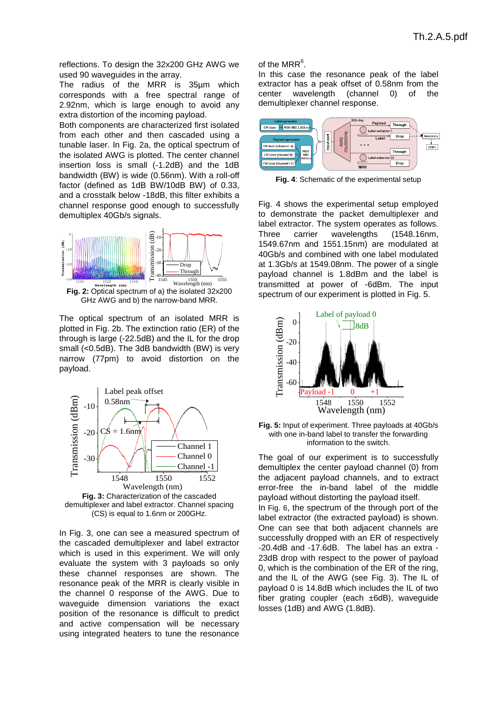reflections. To design the 32x200 GHz AWG we used 90 waveguides in the array.

The radius of the MRR is 35µm which corresponds with a free spectral range of 2.92nm, which is large enough to avoid any extra distortion of the incoming payload.

Both components are characterized first isolated from each other and then cascaded using a tunable laser. In [Fig. 2a](#page-1-0), the optical spectrum of the isolated AWG is plotted. The center channel insertion loss is small (-1.2dB) and the 1dB bandwidth (BW) is wide (0.56nm). With a roll-off factor (defined as 1dB BW/10dB BW) of 0.33, and a crosstalk below -18dB, this filter exhibits a channel response good enough to successfully demultiplex 40Gb/s signals.



<span id="page-1-0"></span>The optical spectrum of an isolated MRR is plotted in [Fig. 2b](#page-1-0). The extinction ratio (ER) of the through is large (-22.5dB) and the IL for the drop small (<0.5dB). The 3dB bandwidth (BW) is very narrow (77pm) to avoid distortion on the payload.



<span id="page-1-1"></span>In [Fig. 3,](#page-1-1) one can see a measured spectrum of the cascaded demultiplexer and label extractor which is used in this experiment. We will only evaluate the system with 3 payloads so only these channel responses are shown. The resonance peak of the MRR is clearly visible in the channel 0 response of the AWG. Due to waveguide dimension variations the exact position of the resonance is difficult to predict and active compensation will be necessary using integrated heaters to tune the resonance

# of the MRR $<sup>6</sup>$ .</sup>

In this case the resonance peak of the label extractor has a peak offset of 0.58nm from the center wavelength (channel 0) of the demultiplexer channel response.



<span id="page-1-2"></span>**Fig. 4**: Schematic of the experimental setup

[Fig. 4](#page-1-2) shows the experimental setup employed to demonstrate the packet demultiplexer and label extractor. The system operates as follows. Three carrier wavelengths (1548.16nm, 1549.67nm and 1551.15nm) are modulated at 40Gb/s and combined with one label modulated at 1.3Gb/s at 1549.08nm. The power of a single payload channel is 1.8dBm and the label is transmitted at power of -6dBm. The input spectrum of our experiment is plotted in [Fig. 5.](#page-1-3)



<span id="page-1-3"></span>**Fig. 5:** Input of experiment. Three payloads at 40Gb/s with one in-band label to transfer the forwarding information to the switch.

The goal of our experiment is to successfully demultiplex the center payload channel (0) from the adjacent payload channels, and to extract error-free the in-band label of the middle payload without distorting the payload itself. In [Fig. 6](#page-2-0), the spectrum of the through port of the label extractor (the extracted payload) is shown. One can see that both adjacent channels are successfully dropped with an ER of respectively -20.4dB and -17.6dB. The label has an extra - 23dB drop with respect to the power of payload 0, which is the combination of the ER of the ring, and the IL of the AWG (see [Fig. 3\)](#page-1-1). The IL of payload 0 is 14.8dB which includes the IL of two fiber grating coupler (each ±6dB), waveguide losses (1dB) and AWG (1.8dB).